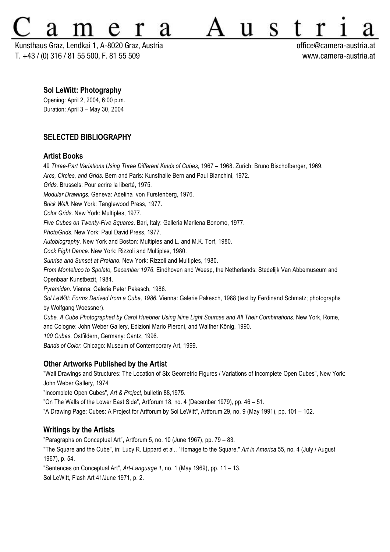# S

Kunsthaus Graz, Lendkai 1, A-8020 Graz, Austria office@camera-austria.at T. +43 / (0) 316 / 81 55 500, F. 81 55 509 www.camera-austria.at

#### **Sol LeWitt: Photography**

Opening: April 2, 2004, 6:00 p.m. Duration: April 3 – May 30, 2004

# **SELECTED BIBLIOGRAPHY**

### **Artist Books**

49 *Three-Part Variations Using Three Different Kinds of Cubes,* 1967 – 1968. Zurich: Bruno Bischofberger, 1969. *Arcs, Circles, and Grids.* Bern and Paris: Kunsthalle Bern and Paul Bianchini, 1972. *Grids.* Brussels: Pour ecrire la liberté, 1975. *Modular Drawings.* Geneva: Adelina von Furstenberg, 1976. *Brick Wall.* New York: Tanglewood Press, 1977. *Color Grids*. New York: Multiples, 1977. *Five Cubes on Twenty-Five Squares.* Bari, Italy: Galleria Marilena Bonomo, 1977. *PhotoGrids.* New York: Paul David Press, 1977. *Autobiography.* New York and Boston: Multiples and L. and M.K. Torf, 1980. *Cock Fight Dance*. New York: Rizzoli and Multiples, 1980. *Sunrise and Sunset at Praiano.* New York: Rizzoli and Multiples, 1980. *From Monteluco to Spoleto, December 1976*. Eindhoven and Weesp, the Netherlands: Stedelijk Van Abbemuseum and Openbaar Kunstbezit, 1984. *Pyramiden.* Vienna: Galerie Peter Pakesch, 1986. *Sol LeWitt: Forms Derived from a Cube, 1986.* Vienna: Galerie Pakesch, 1988 (text by Ferdinand Schmatz; photographs by Wolfgang Woessner). *Cube. A Cube Photographed by Carol Huebner Using Nine Light Sources and All Their Combinations.* New York, Rome, and Cologne: John Weber Gallery, Edizioni Mario Pieroni, and Walther König, 1990. *100 Cubes.* Ostfildern, Germany: Cantz, 1996.

*Bands of Color.* Chicago: Museum of Contemporary Art, 1999.

# **Other Artworks Published by the Artist**

"Wall Drawings and Structures: The Location of Six Geometric Figures / Variations of Incomplete Open Cubes", New York: John Weber Gallery, 1974

"Incomplete Open Cubes", *Art & Project*, bulletin 88,1975.

"On The Walls of the Lower East Side", Artforum 18, no. 4 (December 1979), pp. 46 – 51.

"A Drawing Page: Cubes: A Project for Artforum by Sol LeWitt", Artforum 29, no. 9 (May 1991), pp. 101 – 102.

# **Writings by the Artists**

"Paragraphs on Conceptual Art", Artforum 5, no. 10 (June 1967), pp. 79 – 83.

"The Square and the Cube", in: Lucy R. Lippard et al., "Homage to the Square," *Art in America* 55, no. 4 (July / August 1967), p. 54.

"Sentences on Conceptual Art", *Art-Language 1,* no. 1 (May 1969), pp. 11 – 13.

Sol LeWitt, Flash Art 41/June 1971, p. 2.